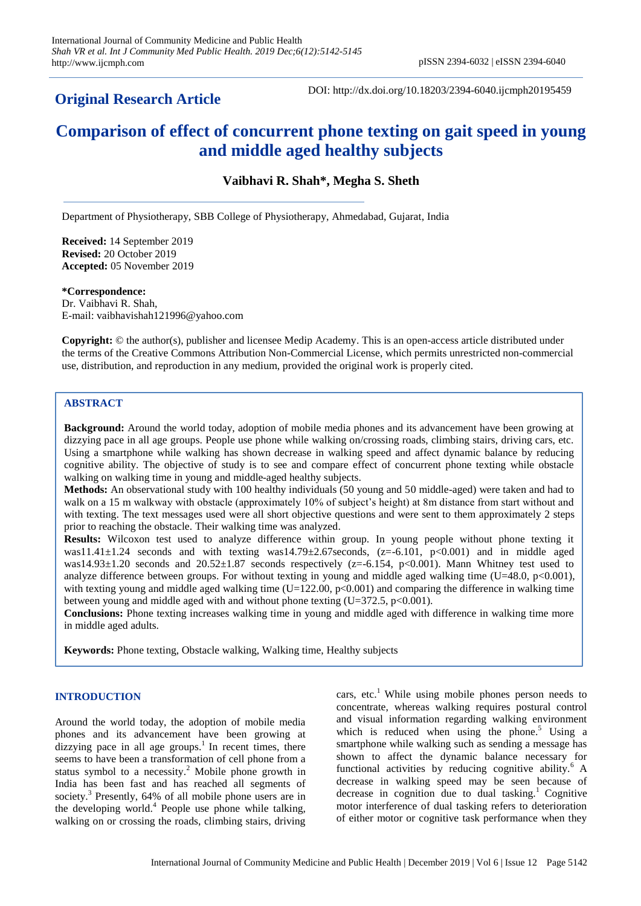# **Original Research Article**

DOI: http://dx.doi.org/10.18203/2394-6040.ijcmph20195459

# **Comparison of effect of concurrent phone texting on gait speed in young and middle aged healthy subjects**

**Vaibhavi R. Shah\*, Megha S. Sheth**

Department of Physiotherapy, SBB College of Physiotherapy, Ahmedabad, Gujarat, India

**Received:** 14 September 2019 **Revised:** 20 October 2019 **Accepted:** 05 November 2019

**\*Correspondence:** Dr. Vaibhavi R. Shah, E-mail: vaibhavishah121996@yahoo.com

**Copyright:** © the author(s), publisher and licensee Medip Academy. This is an open-access article distributed under the terms of the Creative Commons Attribution Non-Commercial License, which permits unrestricted non-commercial use, distribution, and reproduction in any medium, provided the original work is properly cited.

# **ABSTRACT**

**Background:** Around the world today, adoption of mobile media phones and its advancement have been growing at dizzying pace in all age groups. People use phone while walking on/crossing roads, climbing stairs, driving cars, etc. Using a smartphone while walking has shown decrease in walking speed and affect dynamic balance by reducing cognitive ability. The objective of study is to see and compare effect of concurrent phone texting while obstacle walking on walking time in young and middle-aged healthy subjects.

**Methods:** An observational study with 100 healthy individuals (50 young and 50 middle-aged) were taken and had to walk on a 15 m walkway with obstacle (approximately 10% of subject's height) at 8m distance from start without and with texting. The text messages used were all short objective questions and were sent to them approximately 2 steps prior to reaching the obstacle. Their walking time was analyzed.

**Results:** Wilcoxon test used to analyze difference within group. In young people without phone texting it was11.41 $\pm$ 1.24 seconds and with texting was14.79 $\pm$ 2.67 seconds, (z=-6.101, p<0.001) and in middle aged was14.93 $\pm$ 1.20 seconds and 20.52 $\pm$ 1.87 seconds respectively (z=-6.154, p<0.001). Mann Whitney test used to analyze difference between groups. For without texting in young and middle aged walking time (U=48.0,  $p<0.001$ ), with texting young and middle aged walking time  $(U=122.00, p<0.001)$  and comparing the difference in walking time between young and middle aged with and without phone texting  $(U=372.5, p<0.001)$ .

**Conclusions:** Phone texting increases walking time in young and middle aged with difference in walking time more in middle aged adults.

**Keywords:** Phone texting, Obstacle walking, Walking time, Healthy subjects

# **INTRODUCTION**

Around the world today, the adoption of mobile media phones and its advancement have been growing at dizzying pace in all age groups.<sup>1</sup> In recent times, there seems to have been a transformation of cell phone from a status symbol to a necessity.<sup>2</sup> Mobile phone growth in India has been fast and has reached all segments of society.<sup>3</sup> Presently, 64% of all mobile phone users are in the developing world. 4 People use phone while talking, walking on or crossing the roads, climbing stairs, driving

cars, etc. <sup>1</sup> While using mobile phones person needs to concentrate, whereas walking requires postural control and visual information regarding walking environment which is reduced when using the phone.<sup>5</sup> Using a smartphone while walking such as sending a message has shown to affect the dynamic balance necessary for functional activities by reducing cognitive ability.<sup>6</sup> A decrease in walking speed may be seen because of decrease in cognition due to dual tasking.<sup>1</sup> Cognitive motor interference of dual tasking refers to deterioration of either motor or cognitive task performance when they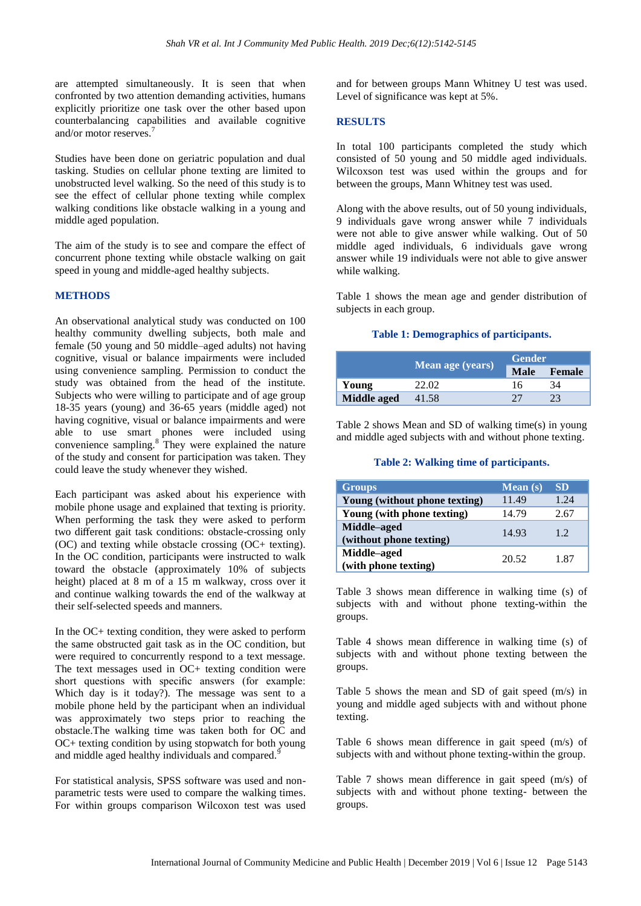are attempted simultaneously. It is seen that when confronted by two attention demanding activities, humans explicitly prioritize one task over the other based upon counterbalancing capabilities and available cognitive and/or motor reserves.<sup>7</sup>

Studies have been done on geriatric population and dual tasking. Studies on cellular phone texting are limited to unobstructed level walking. So the need of this study is to see the effect of cellular phone texting while complex walking conditions like obstacle walking in a young and middle aged population.

The aim of the study is to see and compare the effect of concurrent phone texting while obstacle walking on gait speed in young and middle-aged healthy subjects.

#### **METHODS**

An observational analytical study was conducted on 100 healthy community dwelling subjects, both male and female (50 young and 50 middle–aged adults) not having cognitive, visual or balance impairments were included using convenience sampling. Permission to conduct the study was obtained from the head of the institute. Subjects who were willing to participate and of age group 18-35 years (young) and 36-65 years (middle aged) not having cognitive, visual or balance impairments and were able to use smart phones were included using convenience sampling.<sup>8</sup> They were explained the nature of the study and consent for participation was taken. They could leave the study whenever they wished.

Each participant was asked about his experience with mobile phone usage and explained that texting is priority. When performing the task they were asked to perform two different gait task conditions: obstacle-crossing only (OC) and texting while obstacle crossing (OC+ texting). In the OC condition, participants were instructed to walk toward the obstacle (approximately 10% of subjects height) placed at 8 m of a 15 m walkway, cross over it and continue walking towards the end of the walkway at their self-selected speeds and manners.

In the OC+ texting condition, they were asked to perform the same obstructed gait task as in the OC condition, but were required to concurrently respond to a text message. The text messages used in OC+ texting condition were short questions with specific answers (for example: Which day is it today?). The message was sent to a mobile phone held by the participant when an individual was approximately two steps prior to reaching the obstacle.The walking time was taken both for OC and OC+ texting condition by using stopwatch for both young and middle aged healthy individuals and compared.<sup>9</sup>

For statistical analysis, SPSS software was used and nonparametric tests were used to compare the walking times. For within groups comparison Wilcoxon test was used

and for between groups Mann Whitney U test was used. Level of significance was kept at 5%.

#### **RESULTS**

In total 100 participants completed the study which consisted of 50 young and 50 middle aged individuals. Wilcoxson test was used within the groups and for between the groups, Mann Whitney test was used.

Along with the above results, out of 50 young individuals, 9 individuals gave wrong answer while 7 individuals were not able to give answer while walking. Out of 50 middle aged individuals, 6 individuals gave wrong answer while 19 individuals were not able to give answer while walking.

Table 1 shows the mean age and gender distribution of subjects in each group.

### **Table 1: Demographics of participants.**

|             |                  | <b>Gender</b> |        |  |
|-------------|------------------|---------------|--------|--|
|             | Mean age (years) | <b>Male</b>   | Female |  |
| Young       | 22.02            | 16            | 34     |  |
| Middle aged | 41.58            |               |        |  |

Table 2 shows Mean and SD of walking time(s) in young and middle aged subjects with and without phone texting.

#### **Table 2: Walking time of participants.**

| <b>Groups</b>                          | Mean $(s)$ | <b>SD</b> |
|----------------------------------------|------------|-----------|
| Young (without phone texting)          | 11.49      | 1.24      |
| Young (with phone texting)             | 14.79      | 2.67      |
| Middle-aged<br>(without phone texting) | 14.93      | 12        |
| Middle-aged<br>(with phone texting)    | 20.52      | 1.87      |

Table 3 shows mean difference in walking time (s) of subjects with and without phone texting-within the groups.

Table 4 shows mean difference in walking time (s) of subjects with and without phone texting between the groups.

Table 5 shows the mean and SD of gait speed (m/s) in young and middle aged subjects with and without phone texting.

Table 6 shows mean difference in gait speed (m/s) of subjects with and without phone texting-within the group.

Table 7 shows mean difference in gait speed (m/s) of subjects with and without phone texting- between the groups.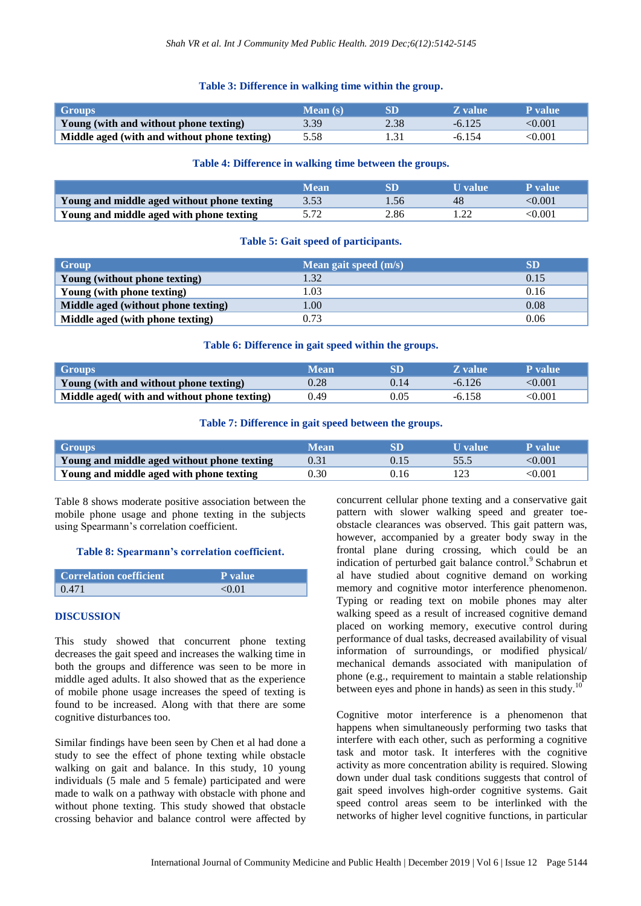#### **Table 3: Difference in walking time within the group.**

| Groups                                       | Mean (s) |      | <b>Z</b> value | P value      |
|----------------------------------------------|----------|------|----------------|--------------|
| Young (with and without phone texting)       | 3.39     | 2.38 | $-6.125$       | $<\!\!0.001$ |
| Middle aged (with and without phone texting) | 5.58     |      | $-6.154$       | <0.001       |

#### **Table 4: Difference in walking time between the groups.**

|                                             | <b>Wean</b> |                  | U value | P value |
|---------------------------------------------|-------------|------------------|---------|---------|
| Young and middle aged without phone texting | 3.53        | .56 <sub>1</sub> | 48      | <0.001  |
| Young and middle aged with phone texting    |             | 2.86             |         | <0.001  |

#### **Table 5: Gait speed of participants.**

| Group                               | Mean gait speed $(m/s)$ | <b>SD</b> |
|-------------------------------------|-------------------------|-----------|
| Young (without phone texting)       | .32                     | 0.15      |
| Young (with phone texting)          | .03                     | 0.16      |
| Middle aged (without phone texting) | 0.00                    | 0.08      |
| Middle aged (with phone texting)    | 0.73                    | 0.06      |

#### **Table 6: Difference in gait speed within the groups.**

| Groups                                       | Mean |      | Z value  | <b>P</b> value |
|----------------------------------------------|------|------|----------|----------------|
| Young (with and without phone texting)       | 0.28 | 0.14 | $-6.126$ | $<\!\!0.001$   |
| Middle aged (with and without phone texting) | 0.49 | 0.05 | $-6.158$ | <0.001         |

#### **Table 7: Difference in gait speed between the groups.**

| Groups                                      | Mean              |    | U value | P value |
|---------------------------------------------|-------------------|----|---------|---------|
| Young and middle aged without phone texting |                   |    |         | <0.001  |
| Young and middle aged with phone texting    | 0.30 <sub>1</sub> | 16 |         | <0.001  |

Table 8 shows moderate positive association between the mobile phone usage and phone texting in the subjects using Spearmann's correlation coefficient.

#### **Table 8: Spearmann's correlation coefficient.**

| <b>Correlation coefficient</b> | P value   |
|--------------------------------|-----------|
| 0.471                          | $<$ 0 0 1 |

#### **DISCUSSION**

This study showed that concurrent phone texting decreases the gait speed and increases the walking time in both the groups and difference was seen to be more in middle aged adults. It also showed that as the experience of mobile phone usage increases the speed of texting is found to be increased. Along with that there are some cognitive disturbances too.

Similar findings have been seen by Chen et al had done a study to see the effect of phone texting while obstacle walking on gait and balance. In this study, 10 young individuals (5 male and 5 female) participated and were made to walk on a pathway with obstacle with phone and without phone texting. This study showed that obstacle crossing behavior and balance control were affected by concurrent cellular phone texting and a conservative gait pattern with slower walking speed and greater toeobstacle clearances was observed. This gait pattern was, however, accompanied by a greater body sway in the frontal plane during crossing, which could be an indication of perturbed gait balance control.<sup>9</sup> Schabrun et al have studied about cognitive demand on working memory and cognitive motor interference phenomenon. Typing or reading text on mobile phones may alter walking speed as a result of increased cognitive demand placed on working memory, executive control during performance of dual tasks, decreased availability of visual information of surroundings, or modified physical/ mechanical demands associated with manipulation of phone (e.g., requirement to maintain a stable relationship between eyes and phone in hands) as seen in this study.<sup>10</sup>

Cognitive motor interference is a phenomenon that happens when simultaneously performing two tasks that interfere with each other, such as performing a cognitive task and motor task. It interferes with the cognitive activity as more concentration ability is required. Slowing down under dual task conditions suggests that control of gait speed involves high-order cognitive systems. Gait speed control areas seem to be interlinked with the networks of higher level cognitive functions, in particular